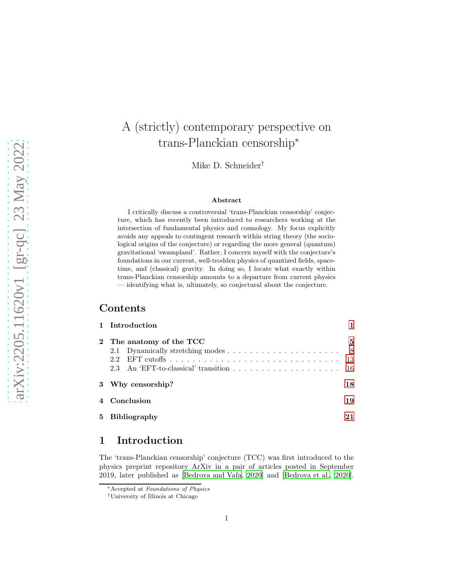# A (strictly) contemporary perspective on trans-Planckian censorship<sup>∗</sup>

Mike D. Schneider†

#### Abstract

I critically discuss a controversial 'trans-Planckian censorship' conjecture, which has recently been introduced to researchers working at the intersection of fundamental physics and cosmology. My focus explicitly avoids any appeals to contingent research within string theory (the sociological origins of the conjecture) or regarding the more general (quantum) gravitational 'swampland'. Rather, I concern myself with the conjecture's foundations in our current, well-trodden physics of quantized fields, spacetime, and (classical) gravity. In doing so, I locate what exactly within trans-Planckian censorship amounts to a departure from current physics — identifying what is, ultimately, so conjectural about the conjecture.

## Contents

|    | 1 Introduction                         |                 |
|----|----------------------------------------|-----------------|
|    | 2 The anatomy of the TCC<br>2.2<br>2.3 | 5<br>- 8<br>-13 |
|    | 3 Why censorship?                      | 18              |
|    | 4 Conclusion                           | 19              |
| 5. | <b>Bibliography</b>                    |                 |

## <span id="page-0-0"></span>1 Introduction

The 'trans-Planckian censorship' conjecture (TCC) was first introduced to the physics preprint repository ArXiv in a pair of articles posted in September 2019, later published as [\[Bedroya and Vafa, 2020](#page-20-1)] and [\[Bedroya et al., 2020\]](#page-20-2).

<sup>∗</sup>Accepted at Foundations of Physics

<sup>†</sup>University of Illinois at Chicago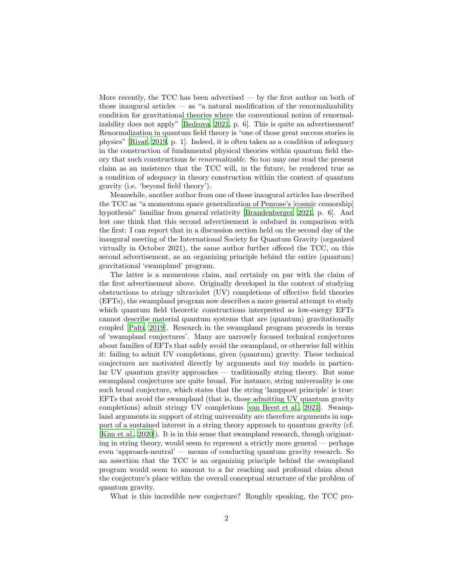More recently, the TCC has been advertised — by the first author on both of those inaugural articles  $-$  as "a natural modification of the renormalizability condition for gravitational theories where the conventional notion of renormalizability does not apply" [\[Bedroya, 2021,](#page-20-3) p. 6]. This is quite an advertisement! Renormalization in quantum field theory is "one of those great success stories in physics" [\[Rivat](#page-22-0), [2019,](#page-22-0) p. 1]. Indeed, it is often taken as a condition of adequacy in the construction of fundamental physical theories within quantum field theory that such constructions be renormalizable. So too may one read the present claim as an insistence that the TCC will, in the future, be rendered true as a condition of adequacy in theory construction within the context of quantum gravity (i.e. 'beyond field theory').

Meanwhile, another author from one of those inaugural articles has described the TCC as "a momentum space generalization of Penrose's [cosmic censorship] hypothesis" familiar from general relativity [\[Brandenberger, 2021,](#page-20-4) p. 6]. And lest one think that this second advertisement is subdued in comparison with the first: I can report that in a discussion section held on the second day of the inaugural meeting of the International Society for Quantum Gravity (organized virtually in October 2021), the same author further offered the TCC, on this second advertisement, as an organizing principle behind the entire (quantum) gravitational 'swampland' program.

The latter is a momentous claim, and certainly on par with the claim of the first advertisement above. Originally developed in the context of studying obstructions to stringy ultraviolet (UV) completions of effective field theories (EFTs), the swampland program now describes a more general attempt to study which quantum field theoretic constructions interpreted as low-energy EFTs cannot describe material quantum systems that are (quantum) gravitationally coupled [\[Palti, 2019\]](#page-22-1). Research in the swampland program proceeds in terms of 'swampland conjectures'. Many are narrowly focused technical conjectures about families of EFTs that safely avoid the swampland, or otherwise fall within it: failing to admit UV completions, given (quantum) gravity. These technical conjectures are motivated directly by arguments and toy models in particular UV quantum gravity approaches — traditionally string theory. But some swampland conjectures are quite broad. For instance, string universality is one such broad conjecture, which states that the string 'lamppost principle' is true: EFTs that avoid the swampland (that is, those admitting UV quantum gravity completions) admit stringy UV completions [\[van Beest et al.](#page-22-2), [2021](#page-22-2)]. Swampland arguments in support of string universality are therefore arguments in support of a sustained interest in a string theory approach to quantum gravity (cf. [\[Kim et al., 2020](#page-21-0)]). It is in this sense that swampland research, though originating in string theory, would seem to represent a strictly more general — perhaps even 'approach-neutral' — means of conducting quantum gravity research. So an assertion that the TCC is an organizing principle behind the swampland program would seem to amount to a far reaching and profound claim about the conjecture's place within the overall conceptual structure of the problem of quantum gravity.

What is this incredible new conjecture? Roughly speaking, the TCC pro-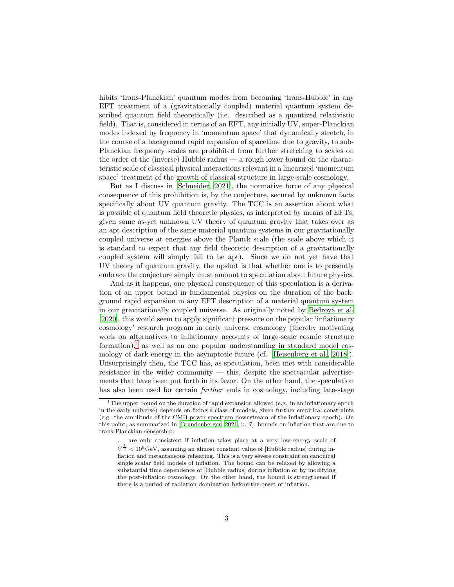hibits 'trans-Planckian' quantum modes from becoming 'trans-Hubble' in any EFT treatment of a (gravitationally coupled) material quantum system described quantum field theoretically (i.e. described as a quantized relativistic field). That is, considered in terms of an EFT, any initially UV, super-Planckian modes indexed by frequency in 'momentum space' that dynamically stretch, in the course of a background rapid expansion of spacetime due to gravity, to sub-Planckian frequency scales are prohibited from further stretching to scales on the order of the (inverse) Hubble radius — a rough lower bound on the characteristic scale of classical physical interactions relevant in a linearized 'momentum space' treatment of the growth of classical structure in large-scale cosmology.

But as I discuss in [\[Schneider](#page-22-3), [2021](#page-22-3)], the normative force of any physical consequence of this prohibition is, by the conjecture, secured by unknown facts specifically about UV quantum gravity. The TCC is an assertion about what is possible of quantum field theoretic physics, as interpreted by means of EFTs, given some as-yet unknown UV theory of quantum gravity that takes over as an apt description of the same material quantum systems in our gravitationally coupled universe at energies above the Planck scale (the scale above which it is standard to expect that any field theoretic description of a gravitationally coupled system will simply fail to be apt). Since we do not yet have that UV theory of quantum gravity, the upshot is that whether one is to presently embrace the conjecture simply must amount to speculation about future physics.

And as it happens, one physical consequence of this speculation is a derivation of an upper bound in fundamental physics on the duration of the background rapid expansion in any EFT description of a material quantum system in our gravitationally coupled universe. As originally noted by [Bedroya](#page-20-2) et al. [\[2020\]](#page-20-2), this would seem to apply significant pressure on the popular 'inflationary cosmology' research program in early universe cosmology (thereby motivating work on alternatives to inflationary accounts of large-scale cosmic structure formation),<sup>[1](#page-2-0)</sup> as well as on one popular understanding in standard model cosmology of dark energy in the asymptotic future (cf. [\[Heisenberg et](#page-21-1) al., [2018](#page-21-1)]). Unsurprisingly then, the TCC has, as speculation, been met with considerable resistance in the wider community — this, despite the spectacular advertisements that have been put forth in its favor. On the other hand, the speculation has also been used for certain *further* ends in cosmology, including late-stage

<span id="page-2-0"></span><sup>&</sup>lt;sup>1</sup>The upper bound on the duration of rapid expansion allowed (e.g. in an inflationary epoch in the early universe) depends on fixing a class of models, given further empirical constraints (e.g. the amplitude of the CMB power spectrum downstream of the inflationary epoch). On this point, as summarized in [\[Brandenberger](#page-20-4), [2021](#page-20-4), p. 7], bounds on inflation that are due to trans-Planckian censorship:

<sup>...</sup> are only consistent if inflation takes place at a very low energy scale of  $V^{\frac{1}{4}} < 10^9 \text{GeV}$ , assuming an almost constant value of [Hubble radius] during inflation and instantaneous reheating. This is a very severe constraint on canonical single scalar field models of inflation. The bound can be relaxed by allowing a substantial time dependence of [Hubble radius] during inflation or by modifying the post-inflation cosmology. On the other hand, the bound is strengthened if there is a period of radiation domination before the onset of inflation.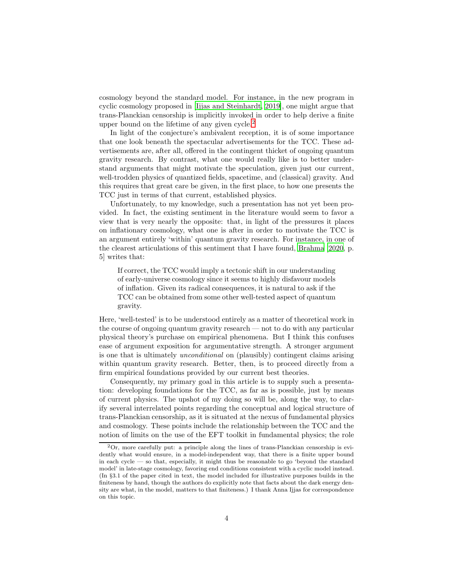cosmology beyond the standard model. For instance, in the new program in cyclic cosmology proposed in [\[Ijjas and Steinhardt, 2019\]](#page-21-2), one might argue that trans-Planckian censorship is implicitly invoked in order to help derive a finite upper bound on the lifetime of any given cycle.<sup>[2](#page-3-0)</sup>

In light of the conjecture's ambivalent reception, it is of some importance that one look beneath the spectacular advertisements for the TCC. These advertisements are, after all, offered in the contingent thicket of ongoing quantum gravity research. By contrast, what one would really like is to better understand arguments that might motivate the speculation, given just our current, well-trodden physics of quantized fields, spacetime, and (classical) gravity. And this requires that great care be given, in the first place, to how one presents the TCC just in terms of that current, established physics.

Unfortunately, to my knowledge, such a presentation has not yet been provided. In fact, the existing sentiment in the literature would seem to favor a view that is very nearly the opposite: that, in light of the pressures it places on inflationary cosmology, what one is after in order to motivate the TCC is an argument entirely 'within' quantum gravity research. For instance, in one of the clearest articulations of this sentiment that I have found, [Brahma \[2020](#page-20-5), p. 5] writes that:

If correct, the TCC would imply a tectonic shift in our understanding of early-universe cosmology since it seems to highly disfavour models of inflation. Given its radical consequences, it is natural to ask if the TCC can be obtained from some other well-tested aspect of quantum gravity.

Here, 'well-tested' is to be understood entirely as a matter of theoretical work in the course of ongoing quantum gravity research — not to do with any particular physical theory's purchase on empirical phenomena. But I think this confuses ease of argument exposition for argumentative strength. A stronger argument is one that is ultimately unconditional on (plausibly) contingent claims arising within quantum gravity research. Better, then, is to proceed directly from a firm empirical foundations provided by our current best theories.

Consequently, my primary goal in this article is to supply such a presentation: developing foundations for the TCC, as far as is possible, just by means of current physics. The upshot of my doing so will be, along the way, to clarify several interrelated points regarding the conceptual and logical structure of trans-Planckian censorship, as it is situated at the nexus of fundamental physics and cosmology. These points include the relationship between the TCC and the notion of limits on the use of the EFT toolkit in fundamental physics; the role

<span id="page-3-0"></span><sup>2</sup>Or, more carefully put: a principle along the lines of trans-Planckian censorship is evidently what would ensure, in a model-independent way, that there is a finite upper bound in each cycle — so that, especially, it might thus be reasonable to go 'beyond the standard model' in late-stage cosmology, favoring end conditions consistent with a cyclic model instead. (In §3.1 of the paper cited in text, the model included for illustrative purposes builds in the finiteness by hand, though the authors do explicitly note that facts about the dark energy density are what, in the model, matters to that finiteness.) I thank Anna Ijjas for correspondence on this topic.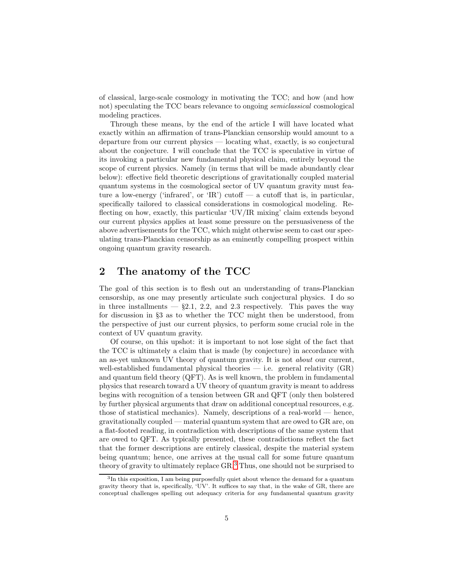of classical, large-scale cosmology in motivating the TCC; and how (and how not) speculating the TCC bears relevance to ongoing semiclassical cosmological modeling practices.

Through these means, by the end of the article I will have located what exactly within an affirmation of trans-Planckian censorship would amount to a departure from our current physics — locating what, exactly, is so conjectural about the conjecture. I will conclude that the TCC is speculative in virtue of its invoking a particular new fundamental physical claim, entirely beyond the scope of current physics. Namely (in terms that will be made abundantly clear below): effective field theoretic descriptions of gravitationally coupled material quantum systems in the cosmological sector of UV quantum gravity must feature a low-energy ('infrared', or 'IR') cutoff — a cutoff that is, in particular, specifically tailored to classical considerations in cosmological modeling. Reflecting on how, exactly, this particular 'UV/IR mixing' claim extends beyond our current physics applies at least some pressure on the persuasiveness of the above advertisements for the TCC, which might otherwise seem to cast our speculating trans-Planckian censorship as an eminently compelling prospect within ongoing quantum gravity research.

## <span id="page-4-0"></span>2 The anatomy of the TCC

The goal of this section is to flesh out an understanding of trans-Planckian censorship, as one may presently articulate such conjectural physics. I do so in three installments  $-$  §2.1, 2.2, and 2.3 respectively. This paves the way for discussion in §3 as to whether the TCC might then be understood, from the perspective of just our current physics, to perform some crucial role in the context of UV quantum gravity.

Of course, on this upshot: it is important to not lose sight of the fact that the TCC is ultimately a claim that is made (by conjecture) in accordance with an as-yet unknown UV theory of quantum gravity. It is not about our current, well-established fundamental physical theories  $-$  i.e. general relativity  $(GR)$ and quantum field theory (QFT). As is well known, the problem in fundamental physics that research toward a UV theory of quantum gravity is meant to address begins with recognition of a tension between GR and QFT (only then bolstered by further physical arguments that draw on additional conceptual resources, e.g. those of statistical mechanics). Namely, descriptions of a real-world — hence, gravitationally coupled — material quantum system that are owed to GR are, on a flat-footed reading, in contradiction with descriptions of the same system that are owed to QFT. As typically presented, these contradictions reflect the fact that the former descriptions are entirely classical, despite the material system being quantum; hence, one arrives at the usual call for some future quantum theory of gravity to ultimately replace GR.[3](#page-4-1) Thus, one should not be surprised to

<span id="page-4-1"></span><sup>&</sup>lt;sup>3</sup>In this exposition, I am being purposefully quiet about whence the demand for a quantum gravity theory that is, specifically, 'UV'. It suffices to say that, in the wake of GR, there are conceptual challenges spelling out adequacy criteria for any fundamental quantum gravity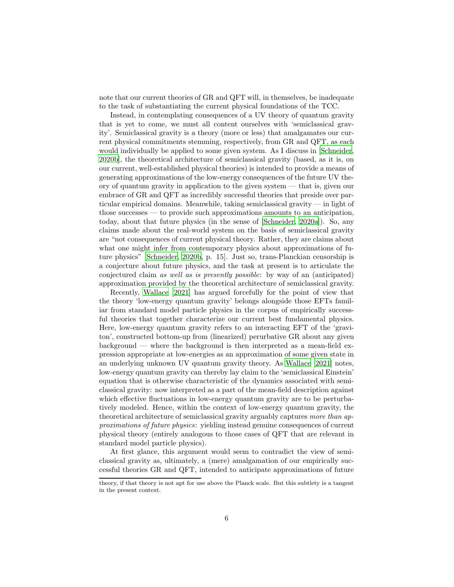note that our current theories of GR and QFT will, in themselves, be inadequate to the task of substantiating the current physical foundations of the TCC.

Instead, in contemplating consequences of a UV theory of quantum gravity that is yet to come, we must all content ourselves with 'semiclassical gravity'. Semiclassical gravity is a theory (more or less) that amalgamates our current physical commitments stemming, respectively, from GR and QFT, as each would individually be applied to some given system. As I discuss in [\[Schneider,](#page-22-4) [2020b](#page-22-4)], the theoretical architecture of semiclassical gravity (based, as it is, on our current, well-established physical theories) is intended to provide a means of generating approximations of the low-energy consequences of the future UV theory of quantum gravity in application to the given system — that is, given our embrace of GR and QFT as incredibly successful theories that preside over particular empirical domains. Meanwhile, taking semiclassical gravity — in light of those successes — to provide such approximations amounts to an anticipation, today, about that future physics (in the sense of [\[Schneider](#page-22-5), [2020a\]](#page-22-5)). So, any claims made about the real-world system on the basis of semiclassical gravity are "not consequences of current physical theory. Rather, they are claims about what one might infer from contemporary physics about approximations of future physics" [\[Schneider, 2020b,](#page-22-4) p. 15]. Just so, trans-Planckian censorship is a conjecture about future physics, and the task at present is to articulate the conjectured claim as well as is presently possible: by way of an (anticipated) approximation provided by the theoretical architecture of semiclassical gravity.

Recently, [Wallace \[2021\]](#page-22-6) has argued forcefully for the point of view that the theory 'low-energy quantum gravity' belongs alongside those EFTs familiar from standard model particle physics in the corpus of empirically successful theories that together characterize our current best fundamental physics. Here, low-energy quantum gravity refers to an interacting EFT of the 'graviton', constructed bottom-up from (linearized) perurbative GR about any given background — where the background is then interpreted as a mean-field expression appropriate at low-energies as an approximation of some given state in an underlying unknown UV quantum gravity theory. As [Wallace \[2021\]](#page-22-6) notes, low-energy quantum gravity can thereby lay claim to the 'semiclassical Einstein' equation that is otherwise characteristic of the dynamics associated with semiclassical gravity: now interpreted as a part of the mean-field description against which effective fluctuations in low-energy quantum gravity are to be perturbatively modeled. Hence, within the context of low-energy quantum gravity, the theoretical architecture of semiclassical gravity arguably captures more than approximations of future physics: yielding instead genuine consequences of current physical theory (entirely analogous to those cases of QFT that are relevant in standard model particle physics).

At first glance, this argument would seem to contradict the view of semiclassical gravity as, ultimately, a (mere) amalgamation of our empirically successful theories GR and QFT, intended to anticipate approximations of future

theory, if that theory is not apt for use above the Planck scale. But this subtlety is a tangent in the present context.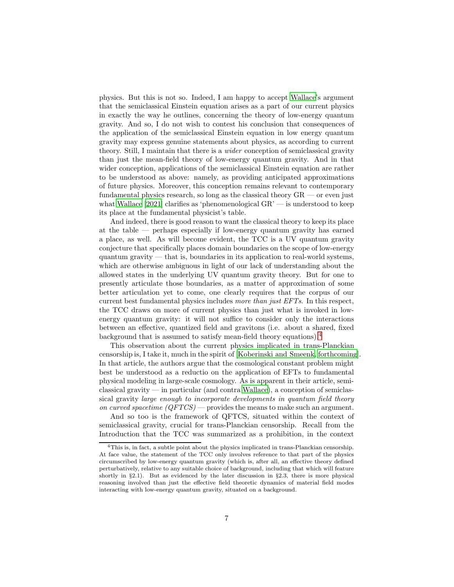physics. But this is not so. Indeed, I am happy to accept [Wallace'](#page-22-6)s argument that the semiclassical Einstein equation arises as a part of our current physics in exactly the way he outlines, concerning the theory of low-energy quantum gravity. And so, I do not wish to contest his conclusion that consequences of the application of the semiclassical Einstein equation in low energy quantum gravity may express genuine statements about physics, as according to current theory. Still, I maintain that there is a wider conception of semiclassical gravity than just the mean-field theory of low-energy quantum gravity. And in that wider conception, applications of the semiclassical Einstein equation are rather to be understood as above: namely, as providing anticipated approximations of future physics. Moreover, this conception remains relevant to contemporary fundamental physics research, so long as the classical theory GR — or even just what [Wallace \[2021](#page-22-6)] clarifies as 'phenomenological  $GR$ ' — is understood to keep its place at the fundamental physicist's table.

And indeed, there is good reason to want the classical theory to keep its place at the table — perhaps especially if low-energy quantum gravity has earned a place, as well. As will become evident, the TCC is a UV quantum gravity conjecture that specifically places domain boundaries on the scope of low-energy quantum gravity — that is, boundaries in its application to real-world systems, which are otherwise ambiguous in light of our lack of understanding about the allowed states in the underlying UV quantum gravity theory. But for one to presently articulate those boundaries, as a matter of approximation of some better articulation yet to come, one clearly requires that the corpus of our current best fundamental physics includes more than just EFTs. In this respect, the TCC draws on more of current physics than just what is invoked in lowenergy quantum gravity: it will not suffice to consider only the interactions between an effective, quantized field and gravitons (i.e. about a shared, fixed background that is assumed to satisfy mean-field theory equations).[4](#page-6-0)

This observation about the current physics implicated in trans-Planckian censorship is, I take it, much in the spirit of [\[Koberinski and Smeenk](#page-21-3), [forthcoming\]](#page-21-3). In that article, the authors argue that the cosmological constant problem might best be understood as a reductio on the application of EFTs to fundamental physical modeling in large-scale cosmology. As is apparent in their article, semiclassical gravity — in particular (and contra [Wallace](#page-22-6)), a conception of semiclassical gravity large enough to incorporate developments in quantum field theory on curved spacetime  $(QFTCS)$  — provides the means to make such an argument.

And so too is the framework of QFTCS, situated within the context of semiclassical gravity, crucial for trans-Planckian censorship. Recall from the Introduction that the TCC was summarized as a prohibition, in the context

<span id="page-6-0"></span> ${}^{4}{\rm This}$  is, in fact, a subtle point about the physics implicated in trans-Planckian censorship. At face value, the statement of the TCC only involves reference to that part of the physics circumscribed by low-energy quantum gravity (which is, after all, an effective theory defined perturbatively, relative to any suitable choice of background, including that which will feature shortly in §2.1). But as evidenced by the later discussion in §2.3, there is more physical reasoning involved than just the effective field theoretic dynamics of material field modes interacting with low-energy quantum gravity, situated on a background.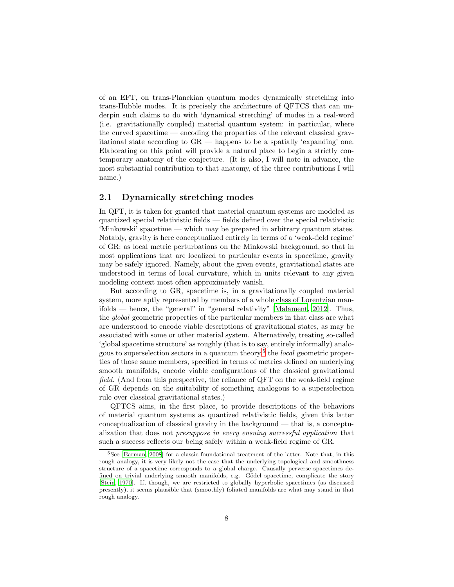of an EFT, on trans-Planckian quantum modes dynamically stretching into trans-Hubble modes. It is precisely the architecture of QFTCS that can underpin such claims to do with 'dynamical stretching' of modes in a real-word (i.e. gravitationally coupled) material quantum system: in particular, where the curved spacetime — encoding the properties of the relevant classical gravitational state according to GR — happens to be a spatially 'expanding' one. Elaborating on this point will provide a natural place to begin a strictly contemporary anatomy of the conjecture. (It is also, I will note in advance, the most substantial contribution to that anatomy, of the three contributions I will name.)

#### <span id="page-7-0"></span>2.1 Dynamically stretching modes

In QFT, it is taken for granted that material quantum systems are modeled as quantized special relativistic fields — fields defined over the special relativistic 'Minkowski' spacetime — which may be prepared in arbitrary quantum states. Notably, gravity is here conceptualized entirely in terms of a 'weak-field regime' of GR: as local metric perturbations on the Minkowski background, so that in most applications that are localized to particular events in spacetime, gravity may be safely ignored. Namely, about the given events, gravitational states are understood in terms of local curvature, which in units relevant to any given modeling context most often approximately vanish.

But according to GR, spacetime is, in a gravitationally coupled material system, more aptly represented by members of a whole class of Lorentzian manifolds — hence, the "general" in "general relativity" [\[Malament, 2012\]](#page-21-4). Thus, the global geometric properties of the particular members in that class are what are understood to encode viable descriptions of gravitational states, as may be associated with some or other material system. Alternatively, treating so-called 'global spacetime structure' as roughly (that is to say, entirely informally) analo-gous to superselection sectors in a quantum theory,<sup>[5](#page-7-1)</sup> the *local* geometric properties of those same members, specified in terms of metrics defined on underlying smooth manifolds, encode viable configurations of the classical gravitational field. (And from this perspective, the reliance of QFT on the weak-field regime of GR depends on the suitability of something analogous to a superselection rule over classical gravitational states.)

QFTCS aims, in the first place, to provide descriptions of the behaviors of material quantum systems as quantized relativistic fields, given this latter conceptualization of classical gravity in the background — that is, a conceptualization that does not presuppose in every ensuing successful application that such a success reflects our being safely within a weak-field regime of GR.

<span id="page-7-1"></span><sup>&</sup>lt;sup>5</sup>See [\[Earman, 2008](#page-21-5)] for a classic foundational treatment of the latter. Note that, in this rough analogy, it is very likely not the case that the underlying topological and smoothness structure of a spacetime corresponds to a global charge. Causally perverse spacetimes defined on trivial underlying smooth manifolds, e.g. Gödel spacetime, complicate the story [\[Stein, 1970\]](#page-22-7). If, though, we are restricted to globally hyperbolic spacetimes (as discussed presently), it seems plausible that (smoothly) foliated manifolds are what may stand in that rough analogy.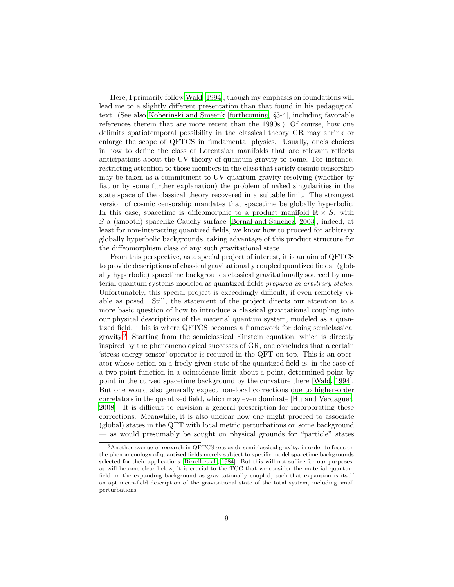Here, I primarily follow [Wald \[1994](#page-22-8)], though my emphasis on foundations will lead me to a slightly different presentation than that found in his pedagogical text. (See also [Koberinski and Smeenk \[forthcoming](#page-21-3), §3-4], including favorable references therein that are more recent than the 1990s.) Of course, how one delimits spatiotemporal possibility in the classical theory GR may shrink or enlarge the scope of QFTCS in fundamental physics. Usually, one's choices in how to define the class of Lorentzian manifolds that are relevant reflects anticipations about the UV theory of quantum gravity to come. For instance, restricting attention to those members in the class that satisfy cosmic censorship may be taken as a commitment to UV quantum gravity resolving (whether by fiat or by some further explanation) the problem of naked singularities in the state space of the classical theory recovered in a suitable limit. The strongest version of cosmic censorship mandates that spacetime be globally hyperbolic. In this case, spacetime is diffeomorphic to a product manifold  $\mathbb{R} \times S$ , with S a (smooth) spacelike Cauchy surface [\[Bernal and Sanchez, 2003](#page-20-6)]; indeed, at least for non-interacting quantized fields, we know how to proceed for arbitrary globally hyperbolic backgrounds, taking advantage of this product structure for the diffeomorphism class of any such gravitational state.

From this perspective, as a special project of interest, it is an aim of QFTCS to provide descriptions of classical gravitationally coupled quantized fields: (globally hyperbolic) spacetime backgrounds classical gravitationally sourced by material quantum systems modeled as quantized fields prepared in arbitrary states. Unfortunately, this special project is exceedingly difficult, if even remotely viable as posed. Still, the statement of the project directs our attention to a more basic question of how to introduce a classical gravitational coupling into our physical descriptions of the material quantum system, modeled as a quantized field. This is where QFTCS becomes a framework for doing semiclassical  $\gamma$  gravity.<sup>[6](#page-8-0)</sup> Starting from the semiclassical Einstein equation, which is directly inspired by the phenomenological successes of GR, one concludes that a certain 'stress-energy tensor' operator is required in the QFT on top. This is an operator whose action on a freely given state of the quantized field is, in the case of a two-point function in a coincidence limit about a point, determined point by point in the curved spacetime background by the curvature there [\[Wald](#page-22-8), [1994\]](#page-22-8). But one would also generally expect non-local corrections due to higher-order correlators in the quantized field, which may even dominate [\[Hu and Verdaguer,](#page-21-6) [2008\]](#page-21-6). It is difficult to envision a general prescription for incorporating these corrections. Meanwhile, it is also unclear how one might proceed to associate (global) states in the QFT with local metric perturbations on some background — as would presumably be sought on physical grounds for "particle" states

<span id="page-8-0"></span><sup>6</sup>Another avenue of research in QFTCS sets aside semiclassical gravity, in order to focus on the phenomenology of quantized fields merely subject to specific model spacetime backgrounds selected for their applications [\[Birrell et al.](#page-20-7), [1984](#page-20-7)]. But this will not suffice for our purposes: as will become clear below, it is crucial to the TCC that we consider the material quantum field on the expanding background as gravitationally coupled, such that expansion is itself an apt mean-field description of the gravitational state of the total system, including small perturbations.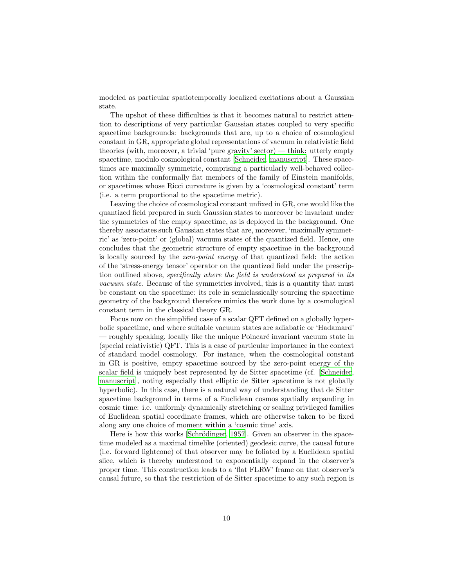modeled as particular spatiotemporally localized excitations about a Gaussian state.

The upshot of these difficulties is that it becomes natural to restrict attention to descriptions of very particular Gaussian states coupled to very specific spacetime backgrounds: backgrounds that are, up to a choice of cosmological constant in GR, appropriate global representations of vacuum in relativistic field theories (with, moreover, a trivial 'pure gravity' sector) — think: utterly empty spacetime, modulo cosmological constant [\[Schneider, manuscript\]](#page-22-9). These spacetimes are maximally symmetric, comprising a particularly well-behaved collection within the conformally flat members of the family of Einstein manifolds, or spacetimes whose Ricci curvature is given by a 'cosmological constant' term (i.e. a term proportional to the spacetime metric).

Leaving the choice of cosmological constant unfixed in GR, one would like the quantized field prepared in such Gaussian states to moreover be invariant under the symmetries of the empty spacetime, as is deployed in the background. One thereby associates such Gaussian states that are, moreover, 'maximally symmetric' as 'zero-point' or (global) vacuum states of the quantized field. Hence, one concludes that the geometric structure of empty spacetime in the background is locally sourced by the zero-point energy of that quantized field: the action of the 'stress-energy tensor' operator on the quantized field under the prescription outlined above, specifically where the field is understood as prepared in its vacuum state. Because of the symmetries involved, this is a quantity that must be constant on the spacetime: its role in semiclassically sourcing the spacetime geometry of the background therefore mimics the work done by a cosmological constant term in the classical theory GR.

Focus now on the simplified case of a scalar QFT defined on a globally hyperbolic spacetime, and where suitable vacuum states are adiabatic or 'Hadamard' — roughly speaking, locally like the unique Poincaré invariant vacuum state in (special relativistic) QFT. This is a case of particular importance in the context of standard model cosmology. For instance, when the cosmological constant in GR is positive, empty spacetime sourced by the zero-point energy of the scalar field is uniquely best represented by de Sitter spacetime (cf. [\[Schneider,](#page-22-9) [manuscript](#page-22-9)], noting especially that elliptic de Sitter spacetime is not globally hyperbolic). In this case, there is a natural way of understanding that de Sitter spacetime background in terms of a Euclidean cosmos spatially expanding in cosmic time: i.e. uniformly dynamically stretching or scaling privileged families of Euclidean spatial coordinate frames, which are otherwise taken to be fixed along any one choice of moment within a 'cosmic time' axis.

Here is how this works [Schrödinger, 1957]. Given an observer in the spacetime modeled as a maximal timelike (oriented) geodesic curve, the causal future (i.e. forward lightcone) of that observer may be foliated by a Euclidean spatial slice, which is thereby understood to exponentially expand in the observer's proper time. This construction leads to a 'flat FLRW' frame on that observer's causal future, so that the restriction of de Sitter spacetime to any such region is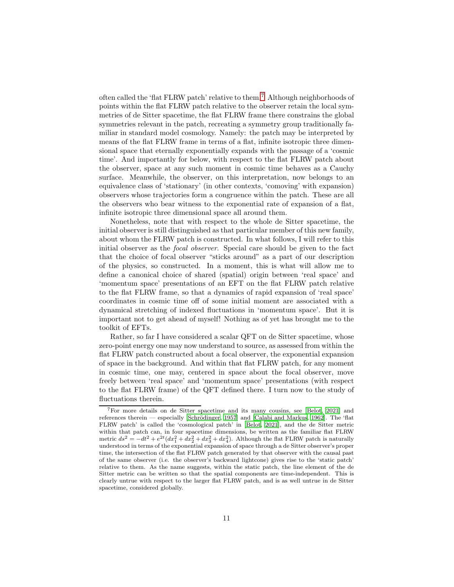often called the 'flat FLRW patch' relative to them.[7](#page-10-0) Although neighborhoods of points within the flat FLRW patch relative to the observer retain the local symmetries of de Sitter spacetime, the flat FLRW frame there constrains the global symmetries relevant in the patch, recreating a symmetry group traditionally familiar in standard model cosmology. Namely: the patch may be interpreted by means of the flat FLRW frame in terms of a flat, infinite isotropic three dimensional space that eternally exponentially expands with the passage of a 'cosmic time'. And importantly for below, with respect to the flat FLRW patch about the observer, space at any such moment in cosmic time behaves as a Cauchy surface. Meanwhile, the observer, on this interpretation, now belongs to an equivalence class of 'stationary' (in other contexts, 'comoving' with expansion) observers whose trajectories form a congruence within the patch. These are all the observers who bear witness to the exponential rate of expansion of a flat, infinite isotropic three dimensional space all around them.

Nonetheless, note that with respect to the whole de Sitter spacetime, the initial observer is still distinguished as that particular member of this new family, about whom the FLRW patch is constructed. In what follows, I will refer to this initial observer as the focal observer. Special care should be given to the fact that the choice of focal observer "sticks around" as a part of our description of the physics, so constructed. In a moment, this is what will allow me to define a canonical choice of shared (spatial) origin between 'real space' and 'momentum space' presentations of an EFT on the flat FLRW patch relative to the flat FLRW frame, so that a dynamics of rapid expansion of 'real space' coordinates in cosmic time off of some initial moment are associated with a dynamical stretching of indexed fluctuations in 'momentum space'. But it is important not to get ahead of myself! Nothing as of yet has brought me to the toolkit of EFTs.

Rather, so far I have considered a scalar QFT on de Sitter spacetime, whose zero-point energy one may now understand to source, as assessed from within the flat FLRW patch constructed about a focal observer, the exponential expansion of space in the background. And within that flat FLRW patch, for any moment in cosmic time, one may, centered in space about the focal observer, move freely between 'real space' and 'momentum space' presentations (with respect to the flat FLRW frame) of the QFT defined there. I turn now to the study of fluctuations therein.

<span id="page-10-0"></span><sup>7</sup>For more details on de Sitter spacetime and its many cousins, see [\[Belot, 2021](#page-20-8)] and references therein — especially [Schrödinger, [1957](#page-22-10)] and [\[Calabi and Markus](#page-21-7), [1962\]](#page-21-7). The 'flat FLRW patch' is called the 'cosmological patch' in [\[Belot, 2021\]](#page-20-8), and the de Sitter metric within that patch can, in four spacetime dimensions, be written as the familiar flat FLRW metric  $ds^2 = -dt^2 + e^{2t}(dx_1^2 + dx_2^2 + dx_3^2 + dx_4^2)$ . Although the flat FLRW patch is naturally understood in terms of the exponential expansion of space through a de Sitter observer's proper time, the intersection of the flat FLRW patch generated by that observer with the causal past of the same observer (i.e. the observer's backward lightcone) gives rise to the 'static patch' relative to them. As the name suggests, within the static patch, the line element of the de Sitter metric can be written so that the spatial components are time-independent. This is clearly untrue with respect to the larger flat FLRW patch, and is as well untrue in de Sitter spacetime, considered globally.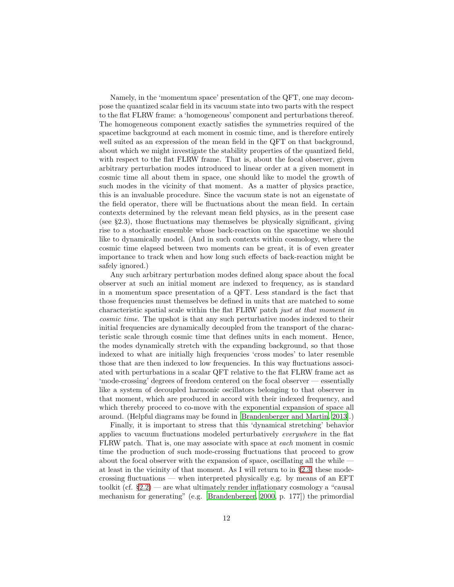Namely, in the 'momentum space' presentation of the QFT, one may decompose the quantized scalar field in its vacuum state into two parts with the respect to the flat FLRW frame: a 'homogeneous' component and perturbations thereof. The homogeneous component exactly satisfies the symmetries required of the spacetime background at each moment in cosmic time, and is therefore entirely well suited as an expression of the mean field in the QFT on that background, about which we might investigate the stability properties of the quantized field, with respect to the flat FLRW frame. That is, about the focal observer, given arbitrary perturbation modes introduced to linear order at a given moment in cosmic time all about them in space, one should like to model the growth of such modes in the vicinity of that moment. As a matter of physics practice, this is an invaluable procedure. Since the vacuum state is not an eigenstate of the field operator, there will be fluctuations about the mean field. In certain contexts determined by the relevant mean field physics, as in the present case (see §2.3), those fluctuations may themselves be physically significant, giving rise to a stochastic ensemble whose back-reaction on the spacetime we should like to dynamically model. (And in such contexts within cosmology, where the cosmic time elapsed between two moments can be great, it is of even greater importance to track when and how long such effects of back-reaction might be safely ignored.)

Any such arbitrary perturbation modes defined along space about the focal observer at such an initial moment are indexed to frequency, as is standard in a momentum space presentation of a QFT. Less standard is the fact that those frequencies must themselves be defined in units that are matched to some characteristic spatial scale within the flat FLRW patch just at that moment in cosmic time. The upshot is that any such perturbative modes indexed to their initial frequencies are dynamically decoupled from the transport of the characteristic scale through cosmic time that defines units in each moment. Hence, the modes dynamically stretch with the expanding background, so that those indexed to what are initially high frequencies 'cross modes' to later resemble those that are then indexed to low frequencies. In this way fluctuations associated with perturbations in a scalar QFT relative to the flat FLRW frame act as 'mode-crossing' degrees of freedom centered on the focal observer — essentially like a system of decoupled harmonic oscillators belonging to that observer in that moment, which are produced in accord with their indexed frequency, and which thereby proceed to co-move with the exponential expansion of space all around. (Helpful diagrams may be found in [\[Brandenberger and Martin, 2013](#page-21-8)].)

Finally, it is important to stress that this 'dynamical stretching' behavior applies to vacuum fluctuations modeled perturbatively everywhere in the flat FLRW patch. That is, one may associate with space at each moment in cosmic time the production of such mode-crossing fluctuations that proceed to grow about the focal observer with the expansion of space, oscillating all the while  $\overline{\phantom{a}}$ at least in the vicinity of that moment. As I will return to in §[2.3,](#page-15-0) these modecrossing fluctuations — when interpreted physically e.g. by means of an EFT toolkit (cf.  $\S 2.2$ ) — are what ultimately render inflationary cosmology a "causal mechanism for generating" (e.g. [\[Brandenberger, 2000,](#page-21-9) p. 177]) the primordial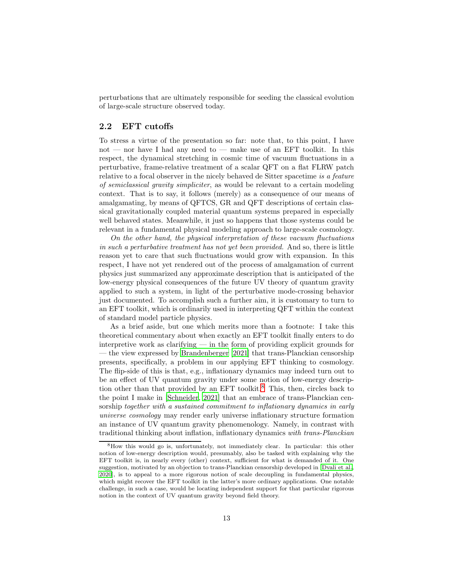perturbations that are ultimately responsible for seeding the classical evolution of large-scale structure observed today.

### <span id="page-12-0"></span>2.2 EFT cutoffs

To stress a virtue of the presentation so far: note that, to this point, I have not — nor have I had any need to — make use of an EFT toolkit. In this respect, the dynamical stretching in cosmic time of vacuum fluctuations in a perturbative, frame-relative treatment of a scalar QFT on a flat FLRW patch relative to a focal observer in the nicely behaved de Sitter spacetime is a feature of semiclassical gravity simpliciter, as would be relevant to a certain modeling context. That is to say, it follows (merely) as a consequence of our means of amalgamating, by means of QFTCS, GR and QFT descriptions of certain classical gravitationally coupled material quantum systems prepared in especially well behaved states. Meanwhile, it just so happens that those systems could be relevant in a fundamental physical modeling approach to large-scale cosmology.

On the other hand, the physical interpretation of these vacuum fluctuations in such a perturbative treatment has not yet been provided. And so, there is little reason yet to care that such fluctuations would grow with expansion. In this respect, I have not yet rendered out of the process of amalgamation of current physics just summarized any approximate description that is anticipated of the low-energy physical consequences of the future UV theory of quantum gravity applied to such a system, in light of the perturbative mode-crossing behavior just documented. To accomplish such a further aim, it is customary to turn to an EFT toolkit, which is ordinarily used in interpreting QFT within the context of standard model particle physics.

As a brief aside, but one which merits more than a footnote: I take this theoretical commentary about when exactly an EFT toolkit finally enters to do interpretive work as clarifying — in the form of providing explicit grounds for — the view expressed by [Brandenberger \[2021](#page-20-4)] that trans-Planckian censorship presents, specifically, a problem in our applying EFT thinking to cosmology. The flip-side of this is that, e.g., inflationary dynamics may indeed turn out to be an effect of UV quantum gravity under some notion of low-energy descrip-tion other than that provided by an EFT toolkit.<sup>[8](#page-12-1)</sup> This, then, circles back to the point I make in [\[Schneider, 2021](#page-22-3)] that an embrace of trans-Planckian censorship together with a sustained commitment to inflationary dynamics in early universe cosmology may render early universe inflationary structure formation an instance of UV quantum gravity phenomenology. Namely, in contrast with traditional thinking about inflation, inflationary dynamics with trans-Planckian

<span id="page-12-1"></span><sup>8</sup>How this would go is, unfortunately, not immediately clear. In particular: this other notion of low-energy description would, presumably, also be tasked with explaining why the EFT toolkit is, in nearly every (other) context, sufficient for what is demanded of it. One suggestion, motivated by an objection to trans-Planckian censorship developed in [\[Dvali et al.](#page-21-10), [2020\]](#page-21-10), is to appeal to a more rigorous notion of scale decoupling in fundamental physics, which might recover the EFT toolkit in the latter's more ordinary applications. One notable challenge, in such a case, would be locating independent support for that particular rigorous notion in the context of UV quantum gravity beyond field theory.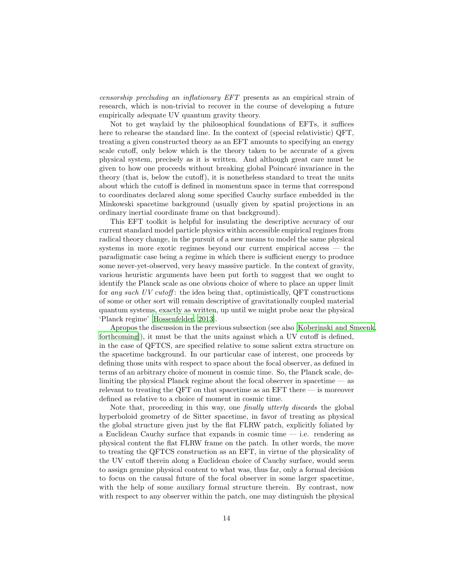censorship precluding an inflationary EFT presents as an empirical strain of research, which is non-trivial to recover in the course of developing a future empirically adequate UV quantum gravity theory.

Not to get waylaid by the philosophical foundations of EFTs, it suffices here to rehearse the standard line. In the context of (special relativistic) QFT, treating a given constructed theory as an EFT amounts to specifying an energy scale cutoff, only below which is the theory taken to be accurate of a given physical system, precisely as it is written. And although great care must be given to how one proceeds without breaking global Poincar´e invariance in the theory (that is, below the cutoff), it is nonetheless standard to treat the units about which the cutoff is defined in momentum space in terms that correspond to coordinates declared along some specified Cauchy surface embedded in the Minkowski spacetime background (usually given by spatial projections in an ordinary inertial coordinate frame on that background).

This EFT toolkit is helpful for insulating the descriptive accuracy of our current standard model particle physics within accessible empirical regimes from radical theory change, in the pursuit of a new means to model the same physical systems in more exotic regimes beyond our current empirical access — the paradigmatic case being a regime in which there is sufficient energy to produce some never-yet-observed, very heavy massive particle. In the context of gravity, various heuristic arguments have been put forth to suggest that we ought to identify the Planck scale as one obvious choice of where to place an upper limit for any such UV cutoff: the idea being that, optimistically,  $QFT$  constructions of some or other sort will remain descriptive of gravitationally coupled material quantum systems, exactly as written, up until we might probe near the physical 'Planck regime' [\[Hossenfelder](#page-21-11), [2013\]](#page-21-11).

Apropos the discussion in the previous subsection (see also [\[Koberinski and Smeenk](#page-21-3), [forthcoming](#page-21-3)]), it must be that the units against which a UV cutoff is defined, in the case of QFTCS, are specified relative to some salient extra structure on the spacetime background. In our particular case of interest, one proceeds by defining those units with respect to space about the focal observer, as defined in terms of an arbitrary choice of moment in cosmic time. So, the Planck scale, delimiting the physical Planck regime about the focal observer in spacetime — as relevant to treating the QFT on that spacetime as an EFT there  $-$  is moreover defined as relative to a choice of moment in cosmic time.

Note that, proceeding in this way, one *finally utterly discards* the global hyperboloid geometry of de Sitter spacetime, in favor of treating as physical the global structure given just by the flat FLRW patch, explicitly foliated by a Euclidean Cauchy surface that expands in cosmic time  $-$  i.e. rendering as physical content the flat FLRW frame on the patch. In other words, the move to treating the QFTCS construction as an EFT, in virtue of the physicality of the UV cutoff therein along a Euclidean choice of Cauchy surface, would seem to assign genuine physical content to what was, thus far, only a formal decision to focus on the causal future of the focal observer in some larger spacetime, with the help of some auxiliary formal structure therein. By contrast, now with respect to any observer within the patch, one may distinguish the physical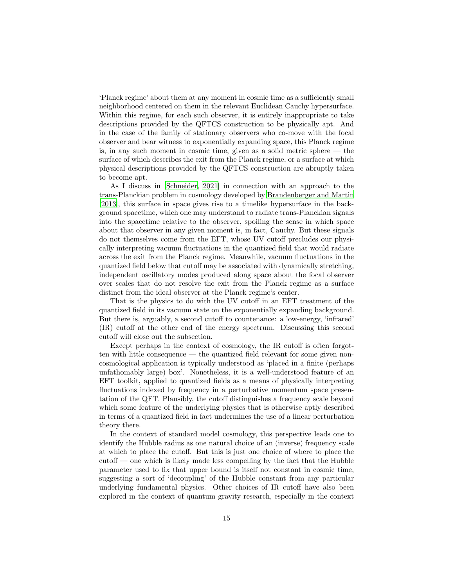'Planck regime' about them at any moment in cosmic time as a sufficiently small neighborhood centered on them in the relevant Euclidean Cauchy hypersurface. Within this regime, for each such observer, it is entirely inappropriate to take descriptions provided by the QFTCS construction to be physically apt. And in the case of the family of stationary observers who co-move with the focal observer and bear witness to exponentially expanding space, this Planck regime is, in any such moment in cosmic time, given as a solid metric sphere — the surface of which describes the exit from the Planck regime, or a surface at which physical descriptions provided by the QFTCS construction are abruptly taken to become apt.

As I discuss in [\[Schneider](#page-22-3), [2021\]](#page-22-3) in connection with an approach to the trans-Planckian problem in cosmology developed by [Brandenberger](#page-21-8) and Martin [\[2013\]](#page-21-8), this surface in space gives rise to a timelike hypersurface in the background spacetime, which one may understand to radiate trans-Planckian signals into the spacetime relative to the observer, spoiling the sense in which space about that observer in any given moment is, in fact, Cauchy. But these signals do not themselves come from the EFT, whose UV cutoff precludes our physically interpreting vacuum fluctuations in the quantized field that would radiate across the exit from the Planck regime. Meanwhile, vacuum fluctuations in the quantized field below that cutoff may be associated with dynamically stretching, independent oscillatory modes produced along space about the focal observer over scales that do not resolve the exit from the Planck regime as a surface distinct from the ideal observer at the Planck regime's center.

That is the physics to do with the UV cutoff in an EFT treatment of the quantized field in its vacuum state on the exponentially expanding background. But there is, arguably, a second cutoff to countenance: a low-energy, 'infrared' (IR) cutoff at the other end of the energy spectrum. Discussing this second cutoff will close out the subsection.

Except perhaps in the context of cosmology, the IR cutoff is often forgotten with little consequence — the quantized field relevant for some given noncosmological application is typically understood as 'placed in a finite (perhaps unfathomably large) box'. Nonetheless, it is a well-understood feature of an EFT toolkit, applied to quantized fields as a means of physically interpreting fluctuations indexed by frequency in a perturbative momentum space presentation of the QFT. Plausibly, the cutoff distinguishes a frequency scale beyond which some feature of the underlying physics that is otherwise aptly described in terms of a quantized field in fact undermines the use of a linear perturbation theory there.

In the context of standard model cosmology, this perspective leads one to identify the Hubble radius as one natural choice of an (inverse) frequency scale at which to place the cutoff. But this is just one choice of where to place the cutoff — one which is likely made less compelling by the fact that the Hubble parameter used to fix that upper bound is itself not constant in cosmic time, suggesting a sort of 'decoupling' of the Hubble constant from any particular underlying fundamental physics. Other choices of IR cutoff have also been explored in the context of quantum gravity research, especially in the context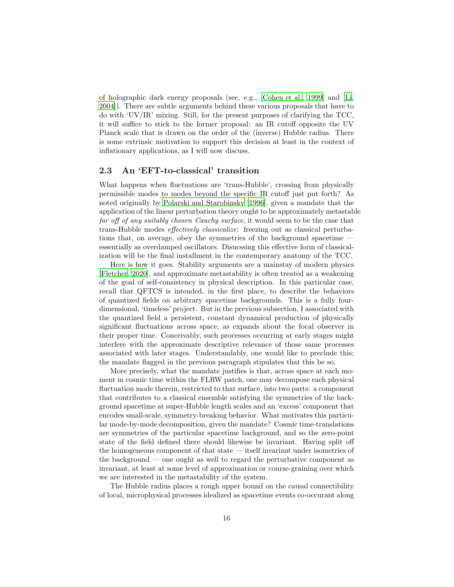of holographic dark energy proposals (see, e.g., [\[Cohen et al., 1999\]](#page-21-12) and [\[Li,](#page-21-13) [2004\]](#page-21-13)). There are subtle arguments behind these various proposals that have to do with 'UV/IR' mixing. Still, for the present purposes of clarifying the TCC, it will suffice to stick to the former proposal: an IR cutoff opposite the UV Planck scale that is drawn on the order of the (inverse) Hubble radius. There is some extrinsic motivation to support this decision at least in the context of inflationary applications, as I will now discuss.

#### <span id="page-15-0"></span>2.3 An 'EFT-to-classical' transition

What happens when fluctuations are 'trans-Hubble', crossing from physically permissible modes to modes beyond the specific IR cutoff just put forth? As noted originally by [Polarski and Starobinsky \[1996](#page-22-11)], given a mandate that the application of the linear perturbation theory ought to be approximately metastable far off of any suitably chosen Cauchy surface, it would seem to be the case that trans-Hubble modes effectively classicalize: freezing out as classical perturbations that, on average, obey the symmetries of the background spacetime essentially as overdamped oscillators. Disucssing this effective form of classicalization will be the final installment in the contemporary anatomy of the TCC.

Here is how it goes. Stability arguments are a mainstay of modern physics [\[Fletcher](#page-21-14), [2020\]](#page-21-14), and approximate metastability is often treated as a weakening of the goal of self-consistency in physical description. In this particular case, recall that QFTCS is intended, in the first place, to describe the behaviors of quantized fields on arbitrary spacetime backgrounds. This is a fully fourdimensional, 'timeless' project. But in the previous subsection, I associated with the quantized field a persistent, constant dynamical production of physically significant fluctuations across space, as expands about the focal observer in their proper time. Conceivably, such processes occurring at early stages might interfere with the approximate descriptive relevance of those same processes associated with later stages. Understandably, one would like to preclude this; the mandate flagged in the previous paragraph stipulates that this be so.

More precisely, what the mandate justifies is that, across space at each moment in cosmic time within the FLRW patch, one may decompose each physical fluctuation mode therein, restricted to that surface, into two parts: a component that contributes to a classical ensemble satisfying the symmetries of the background spacetime at super-Hubble length scales and an 'excess' component that encodes small-scale, symmetry-breaking behavior. What motivates this particular mode-by-mode decomposition, given the mandate? Cosmic time-translations are symmetries of the particular spacetime background, and so the zero-point state of the field defined there should likewise be invariant. Having split off the homogeneous component of that state — itself invariant under isometries of the background — one ought as well to regard the perturbative component as invariant, at least at some level of approximation or course-graining over which we are interested in the metastability of the system.

The Hubble radius places a rough upper bound on the causal connectibility of local, microphysical processes idealized as spacetime events co-occurant along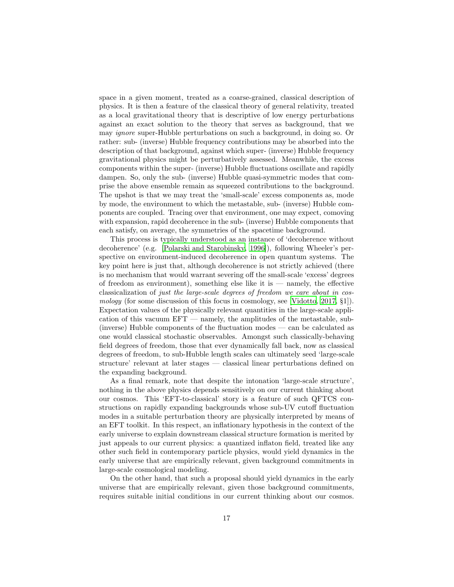space in a given moment, treated as a coarse-grained, classical description of physics. It is then a feature of the classical theory of general relativity, treated as a local gravitational theory that is descriptive of low energy perturbations against an exact solution to the theory that serves as background, that we may ignore super-Hubble perturbations on such a background, in doing so. Or rather: sub- (inverse) Hubble frequency contributions may be absorbed into the description of that background, against which super- (inverse) Hubble frequency gravitational physics might be perturbatively assessed. Meanwhile, the excess components within the super- (inverse) Hubble fluctuations oscillate and rapidly dampen. So, only the sub- (inverse) Hubble quasi-symmetric modes that comprise the above ensemble remain as squeezed contributions to the background. The upshot is that we may treat the 'small-scale' excess components as, mode by mode, the environment to which the metastable, sub- (inverse) Hubble components are coupled. Tracing over that environment, one may expect, comoving with expansion, rapid decoherence in the sub- (inverse) Hubble components that each satisfy, on average, the symmetries of the spacetime background.

This process is typically understood as an instance of 'decoherence without decoherence' (e.g. [\[Polarski and Starobinsky](#page-22-11), [1996\]](#page-22-11)), following Wheeler's perspective on environment-induced decoherence in open quantum systems. The key point here is just that, although decoherence is not strictly achieved (there is no mechanism that would warrant severing off the small-scale 'excess' degrees of freedom as environment), something else like it is — namely, the effective classicalization of just the large-scale degrees of freedom we care about in cos-mology (for some discussion of this focus in cosmology, see [\[Vidotto, 2017,](#page-22-12) §1]). Expectation values of the physically relevant quantities in the large-scale application of this vacuum EFT — namely, the amplitudes of the metastable, sub- (inverse) Hubble components of the fluctuation modes — can be calculated as one would classical stochastic observables. Amongst such classically-behaving field degrees of freedom, those that ever dynamically fall back, now as classical degrees of freedom, to sub-Hubble length scales can ultimately seed 'large-scale structure' relevant at later stages — classical linear perturbations defined on the expanding background.

As a final remark, note that despite the intonation 'large-scale structure', nothing in the above physics depends sensitively on our current thinking about our cosmos. This 'EFT-to-classical' story is a feature of such QFTCS constructions on rapidly expanding backgrounds whose sub-UV cutoff fluctuation modes in a suitable perturbation theory are physically interpreted by means of an EFT toolkit. In this respect, an inflationary hypothesis in the context of the early universe to explain downstream classical structure formation is merited by just appeals to our current physics: a quantized inflaton field, treated like any other such field in contemporary particle physics, would yield dynamics in the early universe that are empirically relevant, given background commitments in large-scale cosmological modeling.

On the other hand, that such a proposal should yield dynamics in the early universe that are empirically relevant, given those background commitments, requires suitable initial conditions in our current thinking about our cosmos.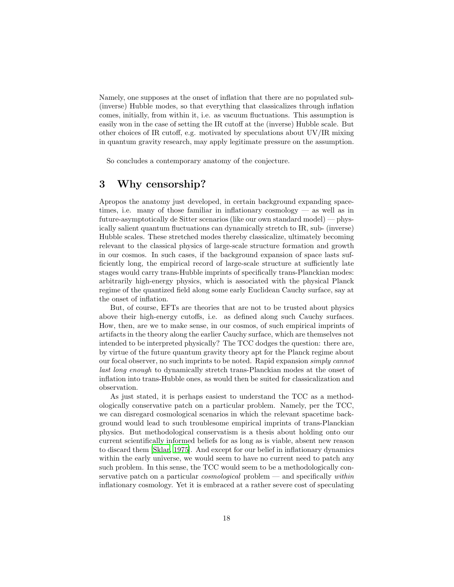Namely, one supposes at the onset of inflation that there are no populated sub- (inverse) Hubble modes, so that everything that classicalizes through inflation comes, initially, from within it, i.e. as vacuum fluctuations. This assumption is easily won in the case of setting the IR cutoff at the (inverse) Hubble scale. But other choices of IR cutoff, e.g. motivated by speculations about UV/IR mixing in quantum gravity research, may apply legitimate pressure on the assumption.

So concludes a contemporary anatomy of the conjecture.

## <span id="page-17-0"></span>3 Why censorship?

Apropos the anatomy just developed, in certain background expanding spacetimes, i.e. many of those familiar in inflationary cosmology — as well as in future-asymptotically de Sitter scenarios (like our own standard model) — physically salient quantum fluctuations can dynamically stretch to IR, sub- (inverse) Hubble scales. These stretched modes thereby classicalize, ultimately becoming relevant to the classical physics of large-scale structure formation and growth in our cosmos. In such cases, if the background expansion of space lasts sufficiently long, the empirical record of large-scale structure at sufficiently late stages would carry trans-Hubble imprints of specifically trans-Planckian modes: arbitrarily high-energy physics, which is associated with the physical Planck regime of the quantized field along some early Euclidean Cauchy surface, say at the onset of inflation.

But, of course, EFTs are theories that are not to be trusted about physics above their high-energy cutoffs, i.e. as defined along such Cauchy surfaces. How, then, are we to make sense, in our cosmos, of such empirical imprints of artifacts in the theory along the earlier Cauchy surface, which are themselves not intended to be interpreted physically? The TCC dodges the question: there are, by virtue of the future quantum gravity theory apt for the Planck regime about our focal observer, no such imprints to be noted. Rapid expansion simply cannot last long enough to dynamically stretch trans-Planckian modes at the onset of inflation into trans-Hubble ones, as would then be suited for classicalization and observation.

As just stated, it is perhaps easiest to understand the TCC as a methodologically conservative patch on a particular problem. Namely, per the TCC, we can disregard cosmological scenarios in which the relevant spacetime background would lead to such troublesome empirical imprints of trans-Planckian physics. But methodological conservatism is a thesis about holding onto our current scientifically informed beliefs for as long as is viable, absent new reason to discard them [\[Sklar, 1975](#page-22-13)]. And except for our belief in inflationary dynamics within the early universe, we would seem to have no current need to patch any such problem. In this sense, the TCC would seem to be a methodologically conservative patch on a particular *cosmological* problem — and specifically within inflationary cosmology. Yet it is embraced at a rather severe cost of speculating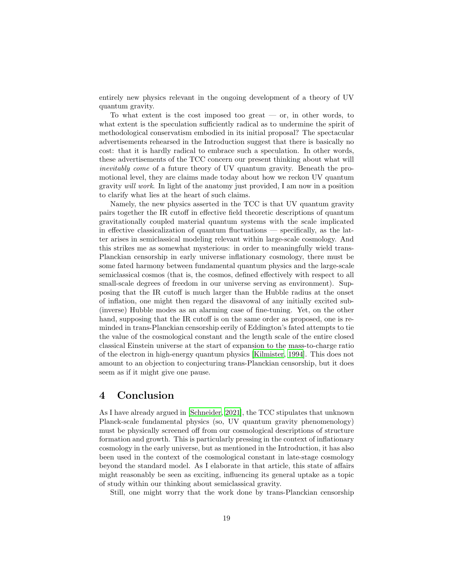entirely new physics relevant in the ongoing development of a theory of UV quantum gravity.

To what extent is the cost imposed too great  $-$  or, in other words, to what extent is the speculation sufficiently radical as to undermine the spirit of methodological conservatism embodied in its initial proposal? The spectacular advertisements rehearsed in the Introduction suggest that there is basically no cost: that it is hardly radical to embrace such a speculation. In other words, these advertisements of the TCC concern our present thinking about what will inevitably come of a future theory of UV quantum gravity. Beneath the promotional level, they are claims made today about how we reckon UV quantum gravity will work. In light of the anatomy just provided, I am now in a position to clarify what lies at the heart of such claims.

Namely, the new physics asserted in the TCC is that UV quantum gravity pairs together the IR cutoff in effective field theoretic descriptions of quantum gravitationally coupled material quantum systems with the scale implicated in effective classicalization of quantum fluctuations — specifically, as the latter arises in semiclassical modeling relevant within large-scale cosmology. And this strikes me as somewhat mysterious: in order to meaningfully wield trans-Planckian censorship in early universe inflationary cosmology, there must be some fated harmony between fundamental quantum physics and the large-scale semiclassical cosmos (that is, the cosmos, defined effectively with respect to all small-scale degrees of freedom in our universe serving as environment). Supposing that the IR cutoff is much larger than the Hubble radius at the onset of inflation, one might then regard the disavowal of any initially excited sub- (inverse) Hubble modes as an alarming case of fine-tuning. Yet, on the other hand, supposing that the IR cutoff is on the same order as proposed, one is reminded in trans-Planckian censorship eerily of Eddington's fated attempts to tie the value of the cosmological constant and the length scale of the entire closed classical Einstein universe at the start of expansion to the mass-to-charge ratio of the electron in high-energy quantum physics [\[Kilmister](#page-21-15), [1994\]](#page-21-15). This does not amount to an objection to conjecturing trans-Planckian censorship, but it does seem as if it might give one pause.

## <span id="page-18-0"></span>4 Conclusion

As I have already argued in [\[Schneider, 2021\]](#page-22-3), the TCC stipulates that unknown Planck-scale fundamental physics (so, UV quantum gravity phenomenology) must be physically screened off from our cosmological descriptions of structure formation and growth. This is particularly pressing in the context of inflationary cosmology in the early universe, but as mentioned in the Introduction, it has also been used in the context of the cosmological constant in late-stage cosmology beyond the standard model. As I elaborate in that article, this state of affairs might reasonably be seen as exciting, influencing its general uptake as a topic of study within our thinking about semiclassical gravity.

Still, one might worry that the work done by trans-Planckian censorship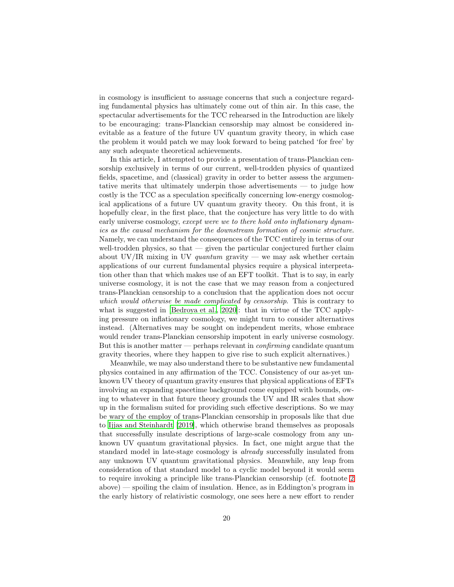in cosmology is insufficient to assuage concerns that such a conjecture regarding fundamental physics has ultimately come out of thin air. In this case, the spectacular advertisements for the TCC rehearsed in the Introduction are likely to be encouraging: trans-Planckian censorship may almost be considered inevitable as a feature of the future UV quantum gravity theory, in which case the problem it would patch we may look forward to being patched 'for free' by any such adequate theoretical achievements.

In this article, I attempted to provide a presentation of trans-Planckian censorship exclusively in terms of our current, well-trodden physics of quantized fields, spacetime, and (classical) gravity in order to better assess the argumentative merits that ultimately underpin those advertisements — to judge how costly is the TCC as a speculation specifically concerning low-energy cosmological applications of a future UV quantum gravity theory. On this front, it is hopefully clear, in the first place, that the conjecture has very little to do with early universe cosmology, except were we to there hold onto inflationary dynamics as the causal mechanism for the downstream formation of cosmic structure. Namely, we can understand the consequences of the TCC entirely in terms of our well-trodden physics, so that  $-$  given the particular conjectured further claim about UV/IR mixing in UV quantum gravity — we may ask whether certain applications of our current fundamental physics require a physical interpretation other than that which makes use of an EFT toolkit. That is to say, in early universe cosmology, it is not the case that we may reason from a conjectured trans-Planckian censorship to a conclusion that the application does not occur which would otherwise be made complicated by censorship. This is contrary to what is suggested in [\[Bedroya et al., 2020\]](#page-20-2): that in virtue of the TCC applying pressure on inflationary cosmology, we might turn to consider alternatives instead. (Alternatives may be sought on independent merits, whose embrace would render trans-Planckian censorship impotent in early universe cosmology. But this is another matter — perhaps relevant in *confirming* candidate quantum gravity theories, where they happen to give rise to such explicit alternatives.)

Meanwhile, we may also understand there to be substantive new fundamental physics contained in any affirmation of the TCC. Consistency of our as-yet unknown UV theory of quantum gravity ensures that physical applications of EFTs involving an expanding spacetime background come equipped with bounds, owing to whatever in that future theory grounds the UV and IR scales that show up in the formalism suited for providing such effective descriptions. So we may be wary of the employ of trans-Planckian censorship in proposals like that due to [Ijjas and Steinhardt \[2019\]](#page-21-2), which otherwise brand themselves as proposals that successfully insulate descriptions of large-scale cosmology from any unknown UV quantum gravitational physics. In fact, one might argue that the standard model in late-stage cosmology is already successfully insulated from any unknown UV quantum gravitational physics. Meanwhile, any leap from consideration of that standard model to a cyclic model beyond it would seem to require invoking a principle like trans-Planckian censorship (cf. footnote [2](#page-3-0) above) — spoiling the claim of insulation. Hence, as in Eddington's program in the early history of relativistic cosmology, one sees here a new effort to render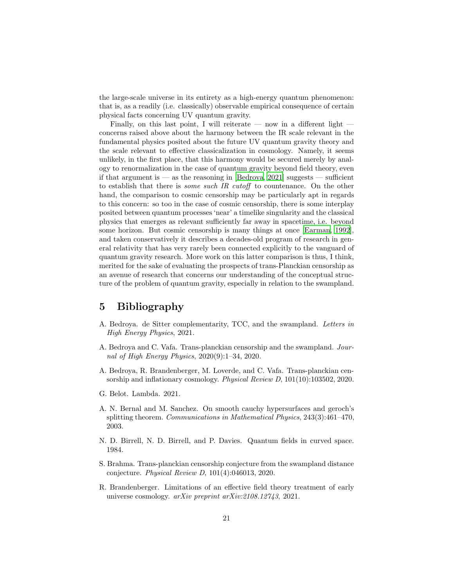the large-scale universe in its entirety as a high-energy quantum phenomenon: that is, as a readily (i.e. classically) observable empirical consequence of certain physical facts concerning UV quantum gravity.

Finally, on this last point, I will reiterate — now in a different light concerns raised above about the harmony between the IR scale relevant in the fundamental physics posited about the future UV quantum gravity theory and the scale relevant to effective classicalization in cosmology. Namely, it seems unlikely, in the first place, that this harmony would be secured merely by analogy to renormalization in the case of quantum gravity beyond field theory, even if that argument is — as the reasoning in [\[Bedroya](#page-20-3), [2021\]](#page-20-3) suggests — sufficient to establish that there is some such IR cutoff to countenance. On the other hand, the comparison to cosmic censorship may be particularly apt in regards to this concern: so too in the case of cosmic censorship, there is some interplay posited between quantum processes 'near' a timelike singularity and the classical physics that emerges as relevant sufficiently far away in spacetime, i.e. beyond some horizon. But cosmic censorship is many things at once [\[Earman](#page-21-16), [1992\]](#page-21-16), and taken conservatively it describes a decades-old program of research in general relativity that has very rarely been connected explicitly to the vanguard of quantum gravity research. More work on this latter comparison is thus, I think, merited for the sake of evaluating the prospects of trans-Planckian censorship as an avenue of research that concerns our understanding of the conceptual structure of the problem of quantum gravity, especially in relation to the swampland.

## <span id="page-20-0"></span>5 Bibliography

- <span id="page-20-3"></span>A. Bedroya. de Sitter complementarity, TCC, and the swampland. Letters in High Energy Physics, 2021.
- <span id="page-20-1"></span>A. Bedroya and C. Vafa. Trans-planckian censorship and the swampland. Journal of High Energy Physics, 2020(9):1–34, 2020.
- <span id="page-20-2"></span>A. Bedroya, R. Brandenberger, M. Loverde, and C. Vafa. Trans-planckian censorship and inflationary cosmology. Physical Review D, 101(10):103502, 2020.
- <span id="page-20-8"></span>G. Belot. Lambda. 2021.
- <span id="page-20-6"></span>A. N. Bernal and M. Sanchez. On smooth cauchy hypersurfaces and geroch's splitting theorem. Communications in Mathematical Physics, 243(3):461–470, 2003.
- <span id="page-20-7"></span>N. D. Birrell, N. D. Birrell, and P. Davies. Quantum fields in curved space. 1984.
- <span id="page-20-5"></span>S. Brahma. Trans-planckian censorship conjecture from the swampland distance conjecture. Physical Review D, 101(4):046013, 2020.
- <span id="page-20-4"></span>R. Brandenberger. Limitations of an effective field theory treatment of early universe cosmology. arXiv preprint arXiv:2108.12743, 2021.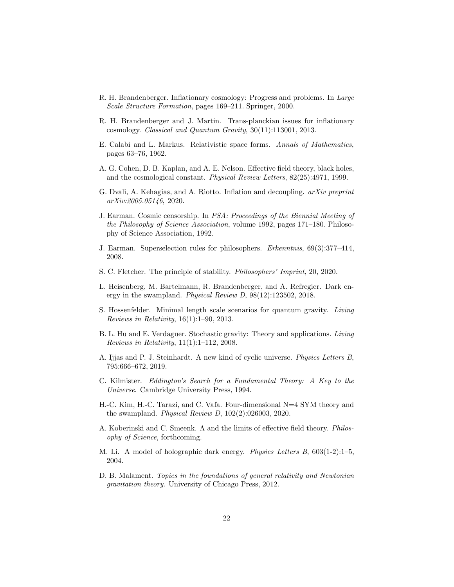- <span id="page-21-9"></span>R. H. Brandenberger. Inflationary cosmology: Progress and problems. In Large Scale Structure Formation, pages 169–211. Springer, 2000.
- <span id="page-21-8"></span>R. H. Brandenberger and J. Martin. Trans-planckian issues for inflationary cosmology. Classical and Quantum Gravity, 30(11):113001, 2013.
- <span id="page-21-7"></span>E. Calabi and L. Markus. Relativistic space forms. Annals of Mathematics, pages 63–76, 1962.
- <span id="page-21-12"></span>A. G. Cohen, D. B. Kaplan, and A. E. Nelson. Effective field theory, black holes, and the cosmological constant. Physical Review Letters, 82(25):4971, 1999.
- <span id="page-21-10"></span>G. Dvali, A. Kehagias, and A. Riotto. Inflation and decoupling. arXiv preprint arXiv:2005.05146, 2020.
- <span id="page-21-16"></span>J. Earman. Cosmic censorship. In PSA: Proceedings of the Biennial Meeting of the Philosophy of Science Association, volume 1992, pages 171–180. Philosophy of Science Association, 1992.
- <span id="page-21-5"></span>J. Earman. Superselection rules for philosophers. Erkenntnis, 69(3):377–414, 2008.
- <span id="page-21-14"></span>S. C. Fletcher. The principle of stability. Philosophers' Imprint, 20, 2020.
- <span id="page-21-1"></span>L. Heisenberg, M. Bartelmann, R. Brandenberger, and A. Refregier. Dark energy in the swampland. Physical Review D, 98(12):123502, 2018.
- <span id="page-21-11"></span>S. Hossenfelder. Minimal length scale scenarios for quantum gravity. Living Reviews in Relativity, 16(1):1–90, 2013.
- <span id="page-21-6"></span>B. L. Hu and E. Verdaguer. Stochastic gravity: Theory and applications. Living Reviews in Relativity, 11(1):1–112, 2008.
- <span id="page-21-2"></span>A. Ijjas and P. J. Steinhardt. A new kind of cyclic universe. Physics Letters B, 795:666–672, 2019.
- <span id="page-21-15"></span>C. Kilmister. Eddington's Search for a Fundamental Theory: A Key to the Universe. Cambridge University Press, 1994.
- <span id="page-21-0"></span>H.-C. Kim, H.-C. Tarazi, and C. Vafa. Four-dimensional N=4 SYM theory and the swampland. Physical Review D, 102(2):026003, 2020.
- <span id="page-21-3"></span>A. Koberinski and C. Smeenk. Λ and the limits of effective field theory. Philosophy of Science, forthcoming.
- <span id="page-21-13"></span>M. Li. A model of holographic dark energy. Physics Letters B, 603(1-2):1–5, 2004.
- <span id="page-21-4"></span>D. B. Malament. Topics in the foundations of general relativity and Newtonian gravitation theory. University of Chicago Press, 2012.